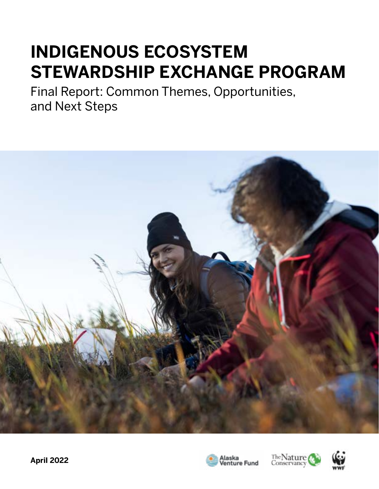# **INDIGENOUS ECOSYSTEM STEWARDSHIP EXCHANGE PROGRAM**

Final Report: Common Themes, Opportunities, and Next Steps







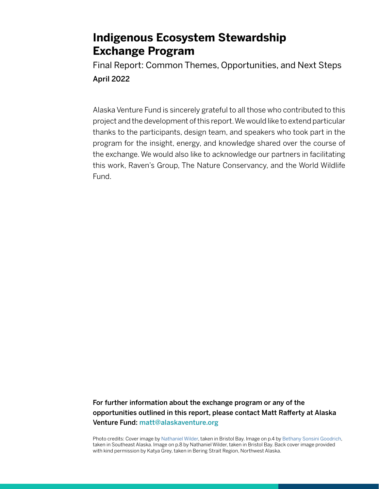Final Report: Common Themes, Opportunities, and Next Steps April 2022

Alaska Venture Fund is sincerely grateful to all those who contributed to this project and the development of this report. We would like to extend particular thanks to the participants, design team, and speakers who took part in the program for the insight, energy, and knowledge shared over the course of the exchange. We would also like to acknowledge our partners in facilitating this work, Raven's Group, The Nature Conservancy, and the World Wildlife Fund.

For further information about the exchange program or any of the opportunities outlined in this report, please contact Matt Rafferty at Alaska Venture Fund: [matt@alaskaventure.org](mailto:matt%40alaskaventure.org?subject=)

Photo credits: Cover image by [Nathaniel Wilder](https://www.nathanielwilder.com/), taken in Bristol Bay. Image on p.4 by [Bethany Sonsini Goodrich](http://www.bethany-goodrich.com/), taken in Southeast Alaska. Image on p.8 by Nathaniel Wilder, taken in Bristol Bay. Back cover image provided with kind permission by Katya Grey, taken in Bering Strait Region, Northwest Alaska.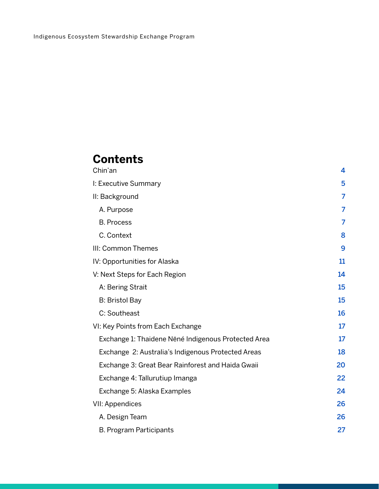# **Contents**

| Chin'an                                             | 4  |
|-----------------------------------------------------|----|
| I: Executive Summary                                | 5  |
| II: Background                                      | 7  |
| A. Purpose                                          | 7  |
| <b>B. Process</b>                                   | 7  |
| C. Context                                          | 8  |
| III: Common Themes                                  | 9  |
| IV: Opportunities for Alaska                        | 11 |
| V: Next Steps for Each Region                       | 14 |
| A: Bering Strait                                    | 15 |
| <b>B: Bristol Bay</b>                               | 15 |
| C: Southeast                                        | 16 |
| VI: Key Points from Each Exchange                   | 17 |
| Exchange 1: Thaidene Nëné Indigenous Protected Area | 17 |
| Exchange 2: Australia's Indigenous Protected Areas  | 18 |
| Exchange 3: Great Bear Rainforest and Haida Gwaii   | 20 |
| Exchange 4: Tallurutiup Imanga                      | 22 |
| Exchange 5: Alaska Examples                         | 24 |
| <b>VII: Appendices</b>                              | 26 |
| A. Design Team                                      | 26 |
| B. Program Participants                             | 27 |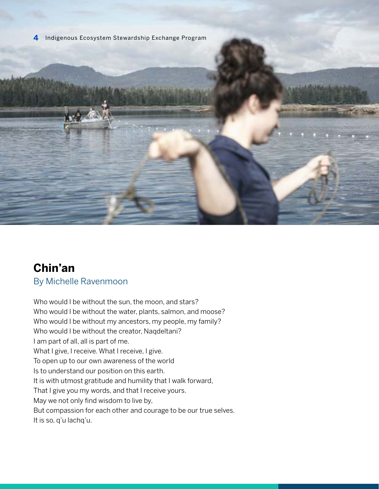### <span id="page-3-0"></span>**Chin'an** By Michelle Ravenmoon

Who would I be without the sun, the moon, and stars? Who would I be without the water, plants, salmon, and moose? Who would I be without my ancestors, my people, my family? Who would I be without the creator, Naqdeltani? I am part of all, all is part of me. What I give, I receive. What I receive, I give. To open up to our own awareness of the world Is to understand our position on this earth. It is with utmost gratitude and humility that I walk forward, That I give you my words, and that I receive yours. May we not only find wisdom to live by, But compassion for each other and courage to be our true selves. It is so, q'u lachq'u.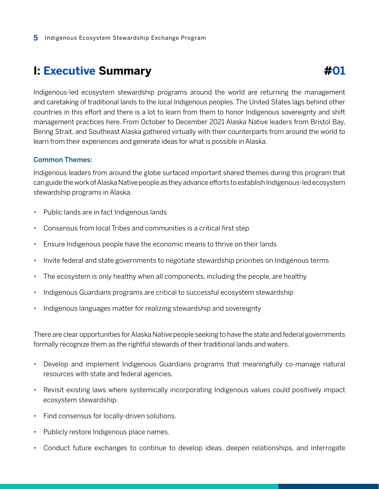# <span id="page-4-0"></span>**I: Executive Summary**

Indigenous-led ecosystem stewardship programs around the world are returning the management and caretaking of traditional lands to the local Indigenous peoples. The United States lags behind other countries in this effort and there is a lot to learn from them to honor Indigenous sovereignty and shift management practices here. From October to December 2021 Alaska Native leaders from Bristol Bay, Bering Strait, and Southeast Alaska gathered virtually with their counterparts from around the world to learn from their experiences and generate ideas for what is possible in Alaska.

#### Common Themes:

Indigenous leaders from around the globe surfaced important shared themes during this program that can guide the work of Alaska Native people as they advance efforts to establish Indigenous-led ecosystem stewardship programs in Alaska.

- Public lands are in fact Indigenous lands
- Consensus from local Tribes and communities is a critical first step
- Ensure Indigenous people have the economic means to thrive on their lands
- Invite federal and state governments to negotiate stewardship priorities on Indigenous terms
- The ecosystem is only healthy when all components, including the people, are healthy
- Indigenous Guardians programs are critical to successful ecosystem stewardship
- Indigenous languages matter for realizing stewardship and sovereignty

There are clear opportunities for Alaska Native people seeking to have the state and federal governments formally recognize them as the rightful stewards of their traditional lands and waters.

- Develop and implement Indigenous Guardians programs that meaningfully co-manage natural resources with state and federal agencies.
- Revisit existing laws where systemically incorporating Indigenous values could positively impact ecosystem stewardship.
- Find consensus for locally-driven solutions.
- Publicly restore Indigenous place names.
- Conduct future exchanges to continue to develop ideas, deepen relationships, and interrogate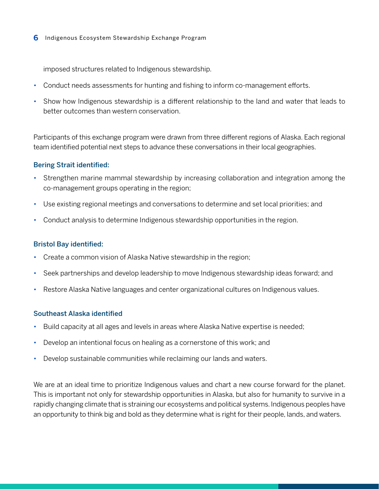imposed structures related to Indigenous stewardship.

- Conduct needs assessments for hunting and fishing to inform co-management efforts.
- Show how Indigenous stewardship is a different relationship to the land and water that leads to better outcomes than western conservation.

Participants of this exchange program were drawn from three different regions of Alaska. Each regional team identified potential next steps to advance these conversations in their local geographies.

#### Bering Strait identified:

- Strengthen marine mammal stewardship by increasing collaboration and integration among the co-management groups operating in the region;
- Use existing regional meetings and conversations to determine and set local priorities; and
- Conduct analysis to determine Indigenous stewardship opportunities in the region.

#### Bristol Bay identified:

- Create a common vision of Alaska Native stewardship in the region;
- Seek partnerships and develop leadership to move Indigenous stewardship ideas forward; and
- Restore Alaska Native languages and center organizational cultures on Indigenous values.

#### Southeast Alaska identified

- Build capacity at all ages and levels in areas where Alaska Native expertise is needed;
- Develop an intentional focus on healing as a cornerstone of this work; and
- Develop sustainable communities while reclaiming our lands and waters.

We are at an ideal time to prioritize Indigenous values and chart a new course forward for the planet. This is important not only for stewardship opportunities in Alaska, but also for humanity to survive in a rapidly changing climate that is straining our ecosystems and political systems. Indigenous peoples have an opportunity to think big and bold as they determine what is right for their people, lands, and waters.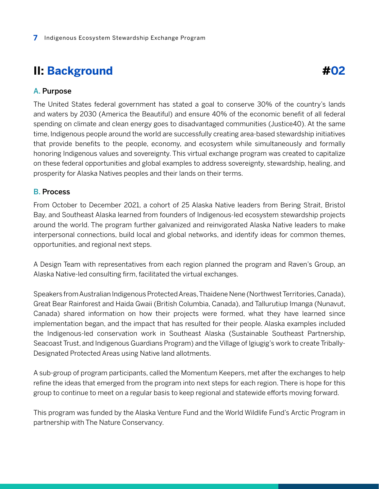# <span id="page-6-0"></span>**II: Background**

#### A. Purpose

The United States federal government has stated a goal to conserve 30% of the country's lands and waters by 2030 (America the Beautiful) and ensure 40% of the economic benefit of all federal spending on climate and clean energy goes to disadvantaged communities (Justice40). At the same time, Indigenous people around the world are successfully creating area-based stewardship initiatives that provide benefits to the people, economy, and ecosystem while simultaneously and formally honoring Indigenous values and sovereignty. This virtual exchange program was created to capitalize on these federal opportunities and global examples to address sovereignty, stewardship, healing, and prosperity for Alaska Natives peoples and their lands on their terms.

#### B. Process

From October to December 2021, a cohort of 25 Alaska Native leaders from Bering Strait, Bristol Bay, and Southeast Alaska learned from founders of Indigenous-led ecosystem stewardship projects around the world. The program further galvanized and reinvigorated Alaska Native leaders to make interpersonal connections, build local and global networks, and identify ideas for common themes, opportunities, and regional next steps.

A Design Team with representatives from each region planned the program and Raven's Group, an Alaska Native-led consulting firm, facilitated the virtual exchanges.

Speakers from Australian Indigenous Protected Areas, Thaidene Nene (Northwest Territories, Canada), Great Bear Rainforest and Haida Gwaii (British Columbia, Canada), and Tallurutiup Imanga (Nunavut, Canada) shared information on how their projects were formed, what they have learned since implementation began, and the impact that has resulted for their people. Alaska examples included the Indigenous-led conservation work in Southeast Alaska (Sustainable Southeast Partnership, Seacoast Trust, and Indigenous Guardians Program) and the Village of Igiugig's work to create Tribally-Designated Protected Areas using Native land allotments.

A sub-group of program participants, called the Momentum Keepers, met after the exchanges to help refine the ideas that emerged from the program into next steps for each region. There is hope for this group to continue to meet on a regular basis to keep regional and statewide efforts moving forward.

This program was funded by the Alaska Venture Fund and the World Wildlife Fund's Arctic Program in partnership with The Nature Conservancy.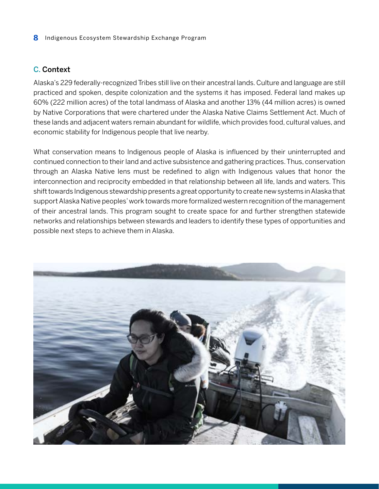#### <span id="page-7-0"></span>C. Context

Alaska's 229 federally-recognized Tribes still live on their ancestral lands. Culture and language are still practiced and spoken, despite colonization and the systems it has imposed. Federal land makes up 60% (222 million acres) of the total landmass of Alaska and another 13% (44 million acres) is owned by Native Corporations that were chartered under the Alaska Native Claims Settlement Act. Much of these lands and adjacent waters remain abundant for wildlife, which provides food, cultural values, and economic stability for Indigenous people that live nearby.

What conservation means to Indigenous people of Alaska is influenced by their uninterrupted and continued connection to their land and active subsistence and gathering practices. Thus, conservation through an Alaska Native lens must be redefined to align with Indigenous values that honor the interconnection and reciprocity embedded in that relationship between all life, lands and waters. This shift towards Indigenous stewardship presents a great opportunity to create new systems in Alaska that support Alaska Native peoples' work towards more formalized western recognition of the management of their ancestral lands. This program sought to create space for and further strengthen statewide networks and relationships between stewards and leaders to identify these types of opportunities and possible next steps to achieve them in Alaska.

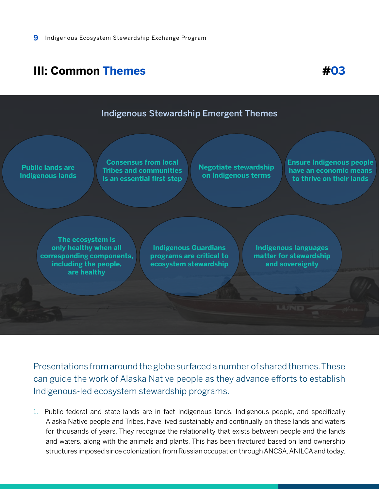# <span id="page-8-0"></span>**III: Common Themes #03**



Presentations from around the globe surfaced a number of shared themes. These can guide the work of Alaska Native people as they advance efforts to establish Indigenous-led ecosystem stewardship programs.

1. Public federal and state lands are in fact Indigenous lands. Indigenous people, and specifically Alaska Native people and Tribes, have lived sustainably and continually on these lands and waters for thousands of years. They recognize the relationality that exists between people and the lands and waters, along with the animals and plants. This has been fractured based on land ownership structures imposed since colonization, from Russian occupation through ANCSA, ANILCA and today.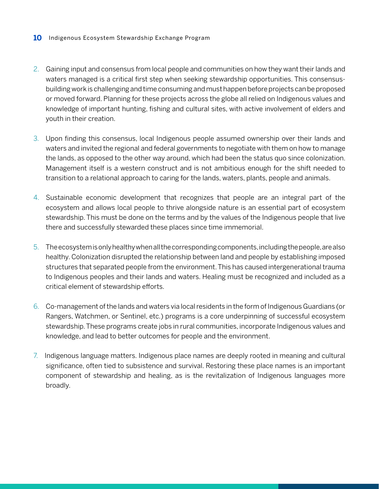- 2. Gaining input and consensus from local people and communities on how they want their lands and waters managed is a critical first step when seeking stewardship opportunities. This consensusbuilding work is challenging and time consuming and must happen before projects can be proposed or moved forward. Planning for these projects across the globe all relied on Indigenous values and knowledge of important hunting, fishing and cultural sites, with active involvement of elders and youth in their creation.
- 3. Upon finding this consensus, local Indigenous people assumed ownership over their lands and waters and invited the regional and federal governments to negotiate with them on how to manage the lands, as opposed to the other way around, which had been the status quo since colonization. Management itself is a western construct and is not ambitious enough for the shift needed to transition to a relational approach to caring for the lands, waters, plants, people and animals.
- 4. Sustainable economic development that recognizes that people are an integral part of the ecosystem and allows local people to thrive alongside nature is an essential part of ecosystem stewardship. This must be done on the terms and by the values of the Indigenous people that live there and successfully stewarded these places since time immemorial.
- 5. The ecosystem is only healthy when all the corresponding components, including the people, are also healthy. Colonization disrupted the relationship between land and people by establishing imposed structures that separated people from the environment. This has caused intergenerational trauma to Indigenous peoples and their lands and waters. Healing must be recognized and included as a critical element of stewardship efforts.
- 6. Co-management of the lands and waters via local residents in the form of Indigenous Guardians (or Rangers, Watchmen, or Sentinel, etc.) programs is a core underpinning of successful ecosystem stewardship. These programs create jobs in rural communities, incorporate Indigenous values and knowledge, and lead to better outcomes for people and the environment.
- 7. Indigenous language matters. Indigenous place names are deeply rooted in meaning and cultural significance, often tied to subsistence and survival. Restoring these place names is an important component of stewardship and healing, as is the revitalization of Indigenous languages more broadly.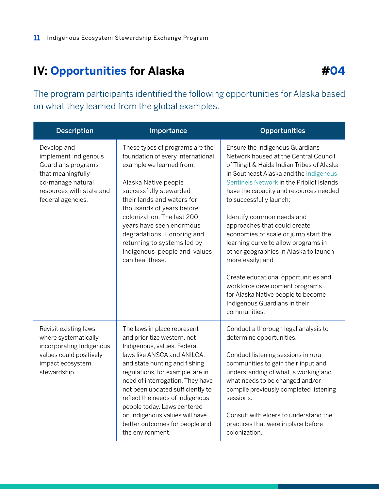# <span id="page-10-0"></span>**IV: Opportunities for Alaska**

The program participants identified the following opportunities for Alaska based on what they learned from the global examples.

| <b>Description</b>                                                                                                                                   | Importance                                                                                                                                                                                                                                                                                                                                                                                                                      | <b>Opportunities</b>                                                                                                                                                                                                                                                                                                                                                                                                                                                                                                                                                                                                                                         |
|------------------------------------------------------------------------------------------------------------------------------------------------------|---------------------------------------------------------------------------------------------------------------------------------------------------------------------------------------------------------------------------------------------------------------------------------------------------------------------------------------------------------------------------------------------------------------------------------|--------------------------------------------------------------------------------------------------------------------------------------------------------------------------------------------------------------------------------------------------------------------------------------------------------------------------------------------------------------------------------------------------------------------------------------------------------------------------------------------------------------------------------------------------------------------------------------------------------------------------------------------------------------|
| Develop and<br>implement Indigenous<br>Guardians programs<br>that meaningfully<br>co-manage natural<br>resources with state and<br>federal agencies. | These types of programs are the<br>foundation of every international<br>example we learned from.<br>Alaska Native people<br>successfully stewarded<br>their lands and waters for<br>thousands of years before<br>colonization. The last 200<br>years have seen enormous<br>degradations. Honoring and<br>returning to systems led by<br>Indigenous people and values<br>can heal these.                                         | Ensure the Indigenous Guardians<br>Network housed at the Central Council<br>of Tlingit & Haida Indian Tribes of Alaska<br>in Southeast Alaska and the Indigenous<br>Sentinels Network in the Pribilof Islands<br>have the capacity and resources needed<br>to successfully launch;<br>Identify common needs and<br>approaches that could create<br>economies of scale or jump start the<br>learning curve to allow programs in<br>other geographies in Alaska to launch<br>more easily; and<br>Create educational opportunities and<br>workforce development programs<br>for Alaska Native people to become<br>Indigenous Guardians in their<br>communities. |
| Revisit existing laws<br>where systematically<br>incorporating Indigenous<br>values could positively<br>impact ecosystem<br>stewardship.             | The laws in place represent<br>and prioritize western, not<br>Indigenous, values. Federal<br>laws like ANSCA and ANILCA,<br>and state hunting and fishing<br>regulations, for example, are in<br>need of interrogation. They have<br>not been updated sufficiently to<br>reflect the needs of Indigenous<br>people today. Laws centered<br>on Indigenous values will have<br>better outcomes for people and<br>the environment. | Conduct a thorough legal analysis to<br>determine opportunities.<br>Conduct listening sessions in rural<br>communities to gain their input and<br>understanding of what is working and<br>what needs to be changed and/or<br>compile previously completed listening<br>sessions.<br>Consult with elders to understand the<br>practices that were in place before<br>colonization.                                                                                                                                                                                                                                                                            |

### **#04**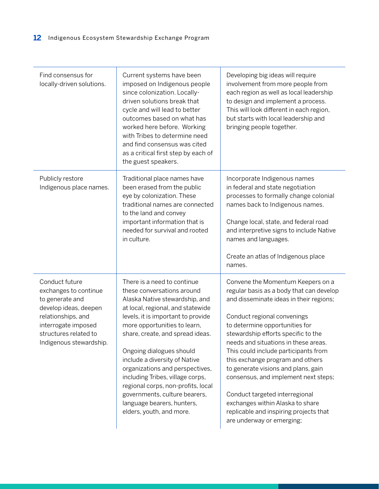| Find consensus for<br>locally-driven solutions.                                                                                                                                      | Current systems have been<br>imposed on Indigenous people<br>since colonization. Locally-<br>driven solutions break that<br>cycle and will lead to better<br>outcomes based on what has<br>worked here before. Working<br>with Tribes to determine need<br>and find consensus was cited<br>as a critical first step by each of<br>the guest speakers.                                                                                                                                                           | Developing big ideas will require<br>involvement from more people from<br>each region as well as local leadership<br>to design and implement a process.<br>This will look different in each region,<br>but starts with local leadership and<br>bringing people together.                                                                                                                                                                                                                                                                                                         |
|--------------------------------------------------------------------------------------------------------------------------------------------------------------------------------------|-----------------------------------------------------------------------------------------------------------------------------------------------------------------------------------------------------------------------------------------------------------------------------------------------------------------------------------------------------------------------------------------------------------------------------------------------------------------------------------------------------------------|----------------------------------------------------------------------------------------------------------------------------------------------------------------------------------------------------------------------------------------------------------------------------------------------------------------------------------------------------------------------------------------------------------------------------------------------------------------------------------------------------------------------------------------------------------------------------------|
| Publicly restore<br>Indigenous place names.                                                                                                                                          | Traditional place names have<br>been erased from the public<br>eye by colonization. These<br>traditional names are connected<br>to the land and convey<br>important information that is<br>needed for survival and rooted<br>in culture.                                                                                                                                                                                                                                                                        | Incorporate Indigenous names<br>in federal and state negotiation<br>processes to formally change colonial<br>names back to Indigenous names.<br>Change local, state, and federal road<br>and interpretive signs to include Native<br>names and languages.<br>Create an atlas of Indigenous place<br>names.                                                                                                                                                                                                                                                                       |
| Conduct future<br>exchanges to continue<br>to generate and<br>develop ideas, deepen<br>relationships, and<br>interrogate imposed<br>structures related to<br>Indigenous stewardship. | There is a need to continue<br>these conversations around<br>Alaska Native stewardship, and<br>at local, regional, and statewide<br>levels, it is important to provide<br>more opportunities to learn,<br>share, create, and spread ideas.<br>Ongoing dialogues should<br>include a diversity of Native<br>organizations and perspectives,<br>including Tribes, village corps,<br>regional corps, non-profits, local<br>governments, culture bearers,<br>language bearers, hunters,<br>elders, youth, and more. | Convene the Momentum Keepers on a<br>regular basis as a body that can develop<br>and disseminate ideas in their regions;<br>Conduct regional convenings<br>to determine opportunities for<br>stewardship efforts specific to the<br>needs and situations in these areas.<br>This could include participants from<br>this exchange program and others<br>to generate visions and plans, gain<br>consensus, and implement next steps;<br>Conduct targeted interregional<br>exchanges within Alaska to share<br>replicable and inspiring projects that<br>are underway or emerging; |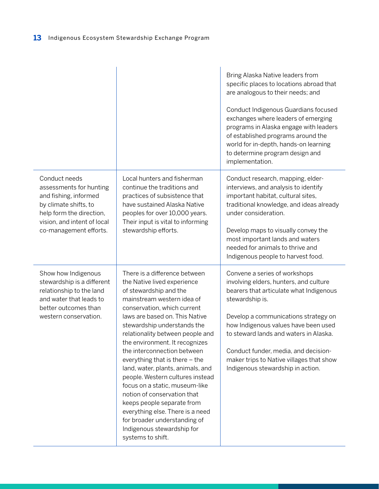|                                                                                                                                                                                 |                                                                                                                                                                                                                                                                                                                                                                                                                                                                                                                                                                                                                                                            | Bring Alaska Native leaders from<br>specific places to locations abroad that<br>are analogous to their needs; and<br>Conduct Indigenous Guardians focused<br>exchanges where leaders of emerging<br>programs in Alaska engage with leaders<br>of established programs around the<br>world for in-depth, hands-on learning<br>to determine program design and<br>implementation.          |
|---------------------------------------------------------------------------------------------------------------------------------------------------------------------------------|------------------------------------------------------------------------------------------------------------------------------------------------------------------------------------------------------------------------------------------------------------------------------------------------------------------------------------------------------------------------------------------------------------------------------------------------------------------------------------------------------------------------------------------------------------------------------------------------------------------------------------------------------------|------------------------------------------------------------------------------------------------------------------------------------------------------------------------------------------------------------------------------------------------------------------------------------------------------------------------------------------------------------------------------------------|
| Conduct needs<br>assessments for hunting<br>and fishing, informed<br>by climate shifts, to<br>help form the direction,<br>vision, and intent of local<br>co-management efforts. | Local hunters and fisherman<br>continue the traditions and<br>practices of subsistence that<br>have sustained Alaska Native<br>peoples for over 10,000 years.<br>Their input is vital to informing<br>stewardship efforts.                                                                                                                                                                                                                                                                                                                                                                                                                                 | Conduct research, mapping, elder-<br>interviews, and analysis to identify<br>important habitat, cultural sites,<br>traditional knowledge, and ideas already<br>under consideration.<br>Develop maps to visually convey the<br>most important lands and waters<br>needed for animals to thrive and<br>Indigenous people to harvest food.                                                  |
| Show how Indigenous<br>stewardship is a different<br>relationship to the land<br>and water that leads to<br>better outcomes than<br>western conservation.                       | There is a difference between<br>the Native lived experience<br>of stewardship and the<br>mainstream western idea of<br>conservation, which current<br>laws are based on. This Native<br>stewardship understands the<br>relationality between people and<br>the environment. It recognizes<br>the interconnection between<br>everything that is there - the<br>land, water, plants, animals, and<br>people. Western cultures instead<br>focus on a static, museum-like<br>notion of conservation that<br>keeps people separate from<br>everything else. There is a need<br>for broader understanding of<br>Indigenous stewardship for<br>systems to shift. | Convene a series of workshops<br>involving elders, hunters, and culture<br>bearers that articulate what Indigenous<br>stewardship is.<br>Develop a communications strategy on<br>how Indigenous values have been used<br>to steward lands and waters in Alaska.<br>Conduct funder, media, and decision-<br>maker trips to Native villages that show<br>Indigenous stewardship in action. |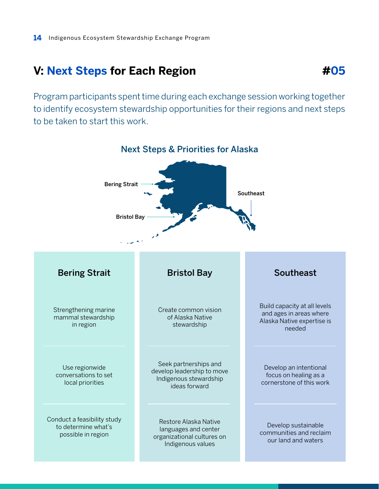### <span id="page-13-0"></span>**V: Next Steps for Each Region**

Program participants spent time during each exchange session working together to identify ecosystem stewardship opportunities for their regions and next steps to be taken to start this work.



**#05**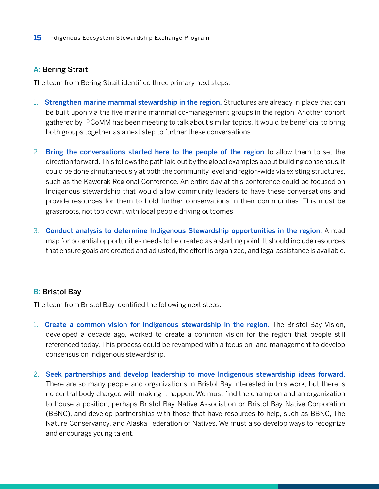#### <span id="page-14-0"></span>A: Bering Strait

The team from Bering Strait identified three primary next steps:

- 1. Strengthen marine mammal stewardship in the region. Structures are already in place that can be built upon via the five marine mammal co-management groups in the region. Another cohort gathered by IPCoMM has been meeting to talk about similar topics. It would be beneficial to bring both groups together as a next step to further these conversations.
- 2. Bring the conversations started here to the people of the region to allow them to set the direction forward. This follows the path laid out by the global examples about building consensus. It could be done simultaneously at both the community level and region-wide via existing structures, such as the Kawerak Regional Conference. An entire day at this conference could be focused on Indigenous stewardship that would allow community leaders to have these conversations and provide resources for them to hold further conservations in their communities. This must be grassroots, not top down, with local people driving outcomes.
- 3. Conduct analysis to determine Indigenous Stewardship opportunities in the region. A road map for potential opportunities needs to be created as a starting point. It should include resources that ensure goals are created and adjusted, the effort is organized, and legal assistance is available.

#### **B: Bristol Bay**

The team from Bristol Bay identified the following next steps:

- 1. Create a common vision for Indigenous stewardship in the region. The Bristol Bay Vision, developed a decade ago, worked to create a common vision for the region that people still referenced today. This process could be revamped with a focus on land management to develop consensus on Indigenous stewardship.
- 2. Seek partnerships and develop leadership to move Indigenous stewardship ideas forward. There are so many people and organizations in Bristol Bay interested in this work, but there is no central body charged with making it happen. We must find the champion and an organization to house a position, perhaps Bristol Bay Native Association or Bristol Bay Native Corporation (BBNC), and develop partnerships with those that have resources to help, such as BBNC, The Nature Conservancy, and Alaska Federation of Natives. We must also develop ways to recognize and encourage young talent.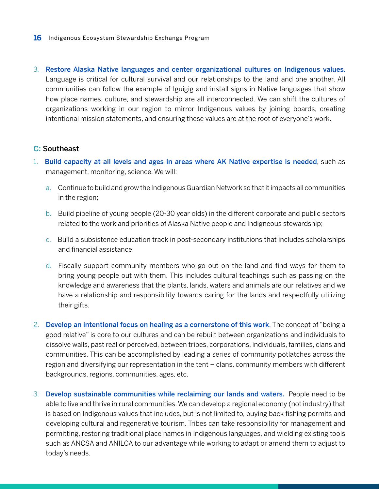<span id="page-15-0"></span>3. Restore Alaska Native languages and center organizational cultures on Indigenous values. Language is critical for cultural survival and our relationships to the land and one another. All communities can follow the example of Iguigig and install signs in Native languages that show how place names, culture, and stewardship are all interconnected. We can shift the cultures of organizations working in our region to mirror Indigenous values by joining boards, creating intentional mission statements, and ensuring these values are at the root of everyone's work.

#### C: Southeast

- 1. Build capacity at all levels and ages in areas where AK Native expertise is needed, such as management, monitoring, science. We will:
	- a. Continue to build and grow the Indigenous Guardian Network so that it impacts all communities in the region;
	- b. Build pipeline of young people (20-30 year olds) in the different corporate and public sectors related to the work and priorities of Alaska Native people and Indigneous stewardship;
	- c. Build a subsistence education track in post-secondary institutions that includes scholarships and financial assistance;
	- d. Fiscally support community members who go out on the land and find ways for them to bring young people out with them. This includes cultural teachings such as passing on the knowledge and awareness that the plants, lands, waters and animals are our relatives and we have a relationship and responsibility towards caring for the lands and respectfully utilizing their gifts.
- 2. Develop an intentional focus on healing as a cornerstone of this work. The concept of "being a good relative" is core to our cultures and can be rebuilt between organizations and individuals to dissolve walls, past real or perceived, between tribes, corporations, individuals, families, clans and communities. This can be accomplished by leading a series of community potlatches across the region and diversifying our representation in the tent – clans, community members with different backgrounds, regions, communities, ages, etc.
- 3. Develop sustainable communities while reclaiming our lands and waters. People need to be able to live and thrive in rural communities. We can develop a regional economy (not industry) that is based on Indigenous values that includes, but is not limited to, buying back fishing permits and developing cultural and regenerative tourism. Tribes can take responsibility for management and permitting, restoring traditional place names in Indigenous languages, and wielding existing tools such as ANCSA and ANILCA to our advantage while working to adapt or amend them to adjust to today's needs.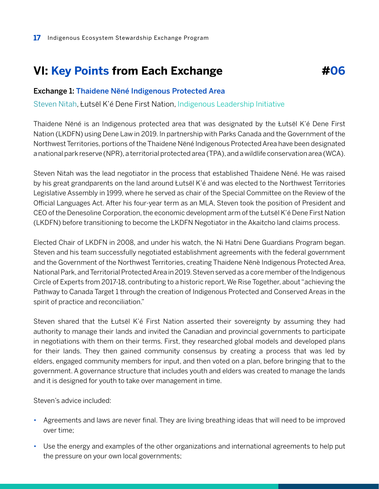# <span id="page-16-0"></span>**VI: Key Points from Each Exchange**

#### Exchange 1: [Thaidene Nëné Indigenous Protected Area](http://www.landoftheancestors.ca/)

[Steven Nitah](https://www.ilinationhood.ca/team/steven-nitah), Łutsël K'é Dene First Nation, [Indigenous Leadership Initiative](https://www.ilinationhood.ca/)

Thaidene Nëné is an Indigenous protected area that was designated by the Łutsël K'é Dene First Nation (LKDFN) using Dene Law in 2019. In partnership with Parks Canada and the Government of the Northwest Territories, portions of the Thaidene Nëné Indigenous Protected Area have been designated a national park reserve (NPR), a territorial protected area (TPA), and a wildlife conservation area (WCA).

**#06**

Steven Nitah was the lead negotiator in the process that established Thaidene Nëné. He was raised by his great grandparents on the land around Łutsël K'é and was elected to the Northwest Territories Legislative Assembly in 1999, where he served as chair of the Special Committee on the Review of the Official Languages Act. After his four-year term as an MLA, Steven took the position of President and CEO of the Denesoline Corporation, the economic development arm of the Łutsël K'é Dene First Nation (LKDFN) before transitioning to become the LKDFN Negotiator in the Akaitcho land claims process.

Elected Chair of LKDFN in 2008, and under his watch, the Ni Hatni Dene Guardians Program began. Steven and his team successfully negotiated establishment agreements with the federal government and the Government of the Northwest Territories, creating Thaidene Nënè Indigenous Protected Area, National Park, and Territorial Protected Area in 2019. Steven served as a core member of the Indigenous Circle of Experts from 2017-18, contributing to a historic report, We Rise Together, about "achieving the Pathway to Canada Target 1 through the creation of Indigenous Protected and Conserved Areas in the spirit of practice and reconciliation."

Steven shared that the Łutsël K'é First Nation asserted their sovereignty by assuming they had authority to manage their lands and invited the Canadian and provincial governments to participate in negotiations with them on their terms. First, they researched global models and developed plans for their lands. They then gained community consensus by creating a process that was led by elders, engaged community members for input, and then voted on a plan, before bringing that to the government. A governance structure that includes youth and elders was created to manage the lands and it is designed for youth to take over management in time.

Steven's advice included:

- Agreements and laws are never final. They are living breathing ideas that will need to be improved over time;
- Use the energy and examples of the other organizations and international agreements to help put the pressure on your own local governments;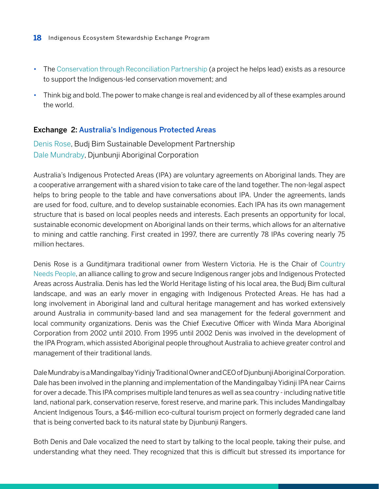- <span id="page-17-0"></span>**18** Indigenous Ecosystem Stewardship Exchange Program
- The [Conservation through Reconciliation Partnership](https://conservation-reconciliation.ca/) (a project he helps lead) exists as a resource to support the Indigenous-led conservation movement; and
- Think big and bold. The power to make change is real and evidenced by all of these examples around the world.

#### Exchange 2: [Australia's Indigenous Protected Areas](https://www.niaa.gov.au/indigenous-affairs/environment/indigenous-protected-areas-ipas)

[Denis Rose](https://lgsc.org.au/denis-rose/), Budj Bim Sustainable Development Partnership [Dale Mundraby](https://soyt.substack.com/p/dalemundraby), Djunbunji Aboriginal Corporation

Australia's Indigenous Protected Areas (IPA) are voluntary agreements on Aboriginal lands. They are a cooperative arrangement with a shared vision to take care of the land together. The non-legal aspect helps to bring people to the table and have conversations about IPA. Under the agreements, lands are used for food, culture, and to develop sustainable economies. Each IPA has its own management structure that is based on local peoples needs and interests. Each presents an opportunity for local, sustainable economic development on Aboriginal lands on their terms, which allows for an alternative to mining and cattle ranching. First created in 1997, there are currently 78 IPAs covering nearly 75 million hectares.

Denis Rose is a Gunditjmara traditional owner from Western Victoria. He is the Chair of [Country](https://www.countryneedspeople.org.au) [Needs People](https://www.countryneedspeople.org.au), an alliance calling to grow and secure Indigenous ranger jobs and Indigenous Protected Areas across Australia. Denis has led the World Heritage listing of his local area, the Budj Bim cultural landscape, and was an early mover in engaging with Indigenous Protected Areas. He has had a long involvement in Aboriginal land and cultural heritage management and has worked extensively around Australia in community-based land and sea management for the federal government and local community organizations. Denis was the Chief Executive Officer with Winda Mara Aboriginal Corporation from 2002 until 2010. From 1995 until 2002 Denis was involved in the development of the IPA Program, which assisted Aboriginal people throughout Australia to achieve greater control and management of their traditional lands.

Dale Mundraby is a Mandingalbay Yidinjy Traditional Owner and CEO of Djunbunji Aboriginal Corporation. Dale has been involved in the planning and implementation of the Mandingalbay Yidinji IPA near Cairns for over a decade. This IPA comprises multiple land tenures as well as sea country - including native title land, national park, conservation reserve, forest reserve, and marine park. This includes Mandingalbay Ancient Indigenous Tours, a \$46-million eco-cultural tourism project on formerly degraded cane land that is being converted back to its natural state by Djunbunji Rangers.

Both Denis and Dale vocalized the need to start by talking to the local people, taking their pulse, and understanding what they need. They recognized that this is difficult but stressed its importance for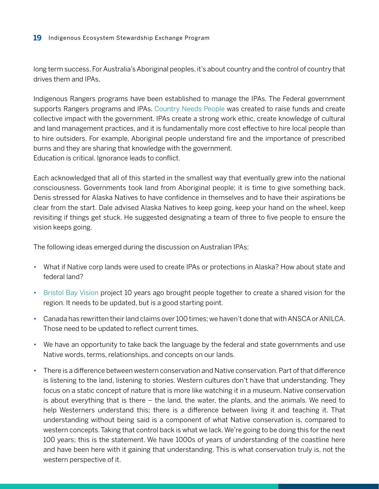long term success. For Australia's Aboriginal peoples, it's about country and the control of country that drives them and IPAs.

Indigenous Rangers programs have been established to manage the IPAs. The Federal government supports Rangers programs and IPAs. [Country Needs People](https://www.countryneedspeople.org.au) was created to raise funds and create collective impact with the government. IPAs create a strong work ethic, create knowledge of cultural and land management practices, and it is fundamentally more cost effective to hire local people than to hire outsiders. For example, Aboriginal people understand fire and the importance of prescribed burns and they are sharing that knowledge with the government. Education is critical. Ignorance leads to conflict.

Each acknowledged that all of this started in the smallest way that eventually grew into the national consciousness. Governments took land from Aboriginal people; it is time to give something back. Denis stressed for Alaska Natives to have confidence in themselves and to have their aspirations be clear from the start. Dale advised Alaska Natives to keep going, keep your hand on the wheel, keep revisiting if things get stuck. He suggested designating a team of three to five people to ensure the vision keeps going.

The following ideas emerged during the discussion on Australian IPAs:

- What if Native corp lands were used to create IPAs or protections in Alaska? How about state and federal land?
- [Bristol Bay Vision](http://www.bristolbayvision.org) project 10 years ago brought people together to create a shared vision for the region. It needs to be updated, but is a good starting point.
- Canada has rewritten their land claims over 100 times; we haven't done that with ANSCA or ANILCA. Those need to be updated to reflect current times.
- We have an opportunity to take back the language by the federal and state governments and use Native words, terms, relationships, and concepts on our lands.
- There is a difference between western conservation and Native conservation. Part of that difference is listening to the land, listening to stories. Western cultures don't have that understanding. They focus on a static concept of nature that is more like watching it in a museum. Native conservation is about everything that is there – the land, the water, the plants, and the animals. We need to help Westerners understand this; there is a difference between living it and teaching it. That understanding without being said is a component of what Native conservation is, compared to western concepts. Taking that control back is what we lack. We're going to be doing this for the next 100 years; this is the statement. We have 1000s of years of understanding of the coastline here and have been here with it gaining that understanding. This is what conservation truly is, not the western perspective of it.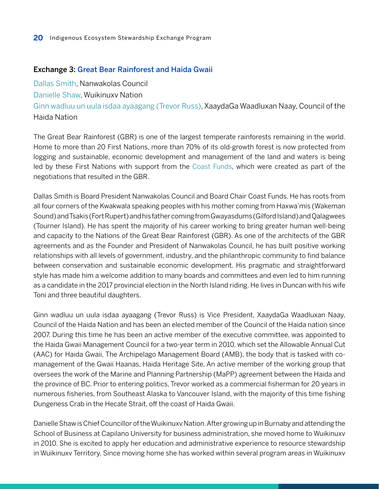#### <span id="page-19-0"></span>Exchange 3: [Great Bear Rainforest and Haida Gwaii](https://coastfunds.ca/great-bear-rainforest/)

[Dallas Smith](https://www.bciroc.ca/speakers/dallas-smith/), [Nanwakolas Council](https://nanwakolas.com/)

[Danielle Shaw,](https://coastalfirstnations.ca/indigenous-women-rising-danielle-shaw-chief-councillor-wuikinuxv-nation/) Wuikinuxv Nation

[Ginn wadluu un uula isdaa ayaagang \(Trevor Russ\),](https://www.linkedin.com/in/trevor-russ-027a8210a/?originalSubdomain=ca) XaaydaGa Waadluxan Naay, Council of the Haida Nation

The Great Bear Rainforest (GBR) is one of the largest temperate rainforests remaining in the world. Home to more than 20 First Nations, more than 70% of its old-growth forest is now protected from logging and sustainable, economic development and management of the land and waters is being led by these First Nations with support from the [Coast Funds,](https://coastfunds.ca) which were created as part of the negotiations that resulted in the GBR.

Dallas Smith is Board President Nanwakolas Council and Board Chair Coast Funds. He has roots from all four corners of the Kwakwala speaking peoples with his mother coming from Haxwa'mis (Wakeman Sound) and Tsakis (Fort Rupert) and his father coming from Gwayasdums (Gilford Island) and Qalagwees (Tourner Island). He has spent the majority of his career working to bring greater human well-being and capacity to the Nations of the Great Bear Rainforest (GBR). As one of the architects of the GBR agreements and as the Founder and President of Nanwakolas Council, he has built positive working relationships with all levels of government, industry, and the philanthropic community to find balance between conservation and sustainable economic development. His pragmatic and straightforward style has made him a welcome addition to many boards and committees and even led to him running as a candidate in the 2017 provincial election in the North Island riding. He lives in Duncan with his wife Toni and three beautiful daughters.

Ginn wadluu un uula isdaa ayaagang (Trevor Russ) is Vice President, XaaydaGa Waadluxan Naay, Council of the Haida Nation and has been an elected member of the Council of the Haida nation since 2007. During this time he has been an active member of the executive committee, was appointed to the Haida Gwaii Management Council for a two-year term in 2010, which set the Allowable Annual Cut (AAC) for Haida Gwaii, The Archipelago Management Board (AMB), the body that is tasked with comanagement of the Gwaii Haanas, Haida Heritage Site, An active member of the working group that oversees the work of the Marine and Planning Partnership (MaPP) agreement between the Haida and the province of BC. Prior to entering politics, Trevor worked as a commercial fisherman for 20 years in numerous fisheries, from Southeast Alaska to Vancouver Island, with the majority of this time fishing Dungeness Crab in the Hecate Strait, off the coast of Haida Gwaii.

Danielle Shaw is Chief Councillor of the Wuikinuxv Nation. After growing up in Burnaby and attending the School of Business at Capilano University for business administration, she moved home to Wuikinuxv in 2010. She is excited to apply her education and administrative experience to resource stewardship in Wuikinuxv Territory. Since moving home she has worked within several program areas in Wuikinuxv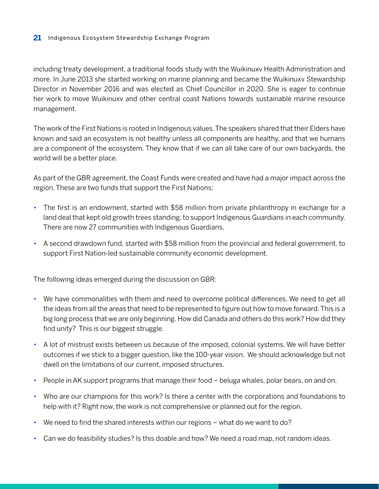including treaty development, a traditional foods study with the Wuikinuxv Health Administration and more. In June 2013 she started working on marine planning and became the Wuikinuxv Stewardship Director in November 2016 and was elected as Chief Councillor in 2020. She is eager to continue her work to move Wuikinuxv and other central coast Nations towards sustainable marine resource management.

The work of the First Nations is rooted in Indigenous values. The speakers shared that their Elders have known and said an ecosystem is not healthy unless all components are healthy, and that we humans are a component of the ecosystem. They know that if we can all take care of our own backyards, the world will be a better place.

As part of the GBR agreement, the Coast Funds were created and have had a major impact across the region. These are two funds that support the First Nations:

- The first is an endowment, started with \$58 million from private philanthropy in exchange for a land deal that kept old growth trees standing, to support Indigenous Guardians in each community. There are now 27 communities with Indigenous Guardians.
- A second drawdown fund, started with \$58 million from the provincial and federal government, to support First Nation-led sustainable community economic development.

The following ideas emerged during the discussion on GBR:

- We have commonalities with them and need to overcome political differences. We need to get all the ideas from all the areas that need to be represented to figure out how to move forward. This is a big long process that we are only beginning. How did Canada and others do this work? How did they find unity? This is our biggest struggle.
- A lot of mistrust exists between us because of the imposed, colonial systems. We will have better outcomes if we stick to a bigger question, like the 100-year vision. We should acknowledge but not dwell on the limitations of our current, imposed structures.
- People in AK support programs that manage their food beluga whales, polar bears, on and on.
- Who are our champions for this work? Is there a center with the corporations and foundations to help with it? Right now, the work is not comprehensive or planned out for the region.
- We need to find the shared interests within our regions what do we want to do?
- Can we do feasibility studies? Is this doable and how? We need a road map, not random ideas.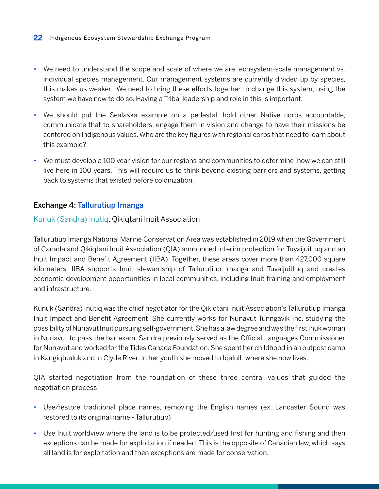- <span id="page-21-0"></span>• We need to understand the scope and scale of where we are: ecosystem-scale management vs. individual species management. Our management systems are currently divided up by species, this makes us weaker. We need to bring these efforts together to change this system, using the system we have now to do so. Having a Tribal leadership and role in this is important.
- We should put the Sealaska example on a pedestal, hold other Native corps accountable, communicate that to shareholders, engage them in vision and change to have their missions be centered on Indigenous values. Who are the key figures with regional corps that need to learn about this example?
- We must develop a 100 year vision for our regions and communities to determine how we can still live here in 100 years. This will require us to think beyond existing barriers and systems, getting back to systems that existed before colonization.

#### Exchange 4: [Tallurutiup Imanga](https://www.qia.ca/tallurutiup-imanga-and-tuvaijuittuq-agreements/)

#### [Kunuk \(Sandra\) Inutiq](https://www.cbc.ca/news/canada/north/author/sandra-inutiq-1.5019783), Qikiqtani Inuit Association

Tallurutiup Imanga National Marine Conservation Area was established in 2019 when the Government of Canada and Qikiqtani Inuit Association (QIA) announced interim protection for Tuvaijuittuq and an Inuit Impact and Benefit Agreement (IIBA). Together, these areas cover more than 427,000 square kilometers. IIBA supports Inuit stewardship of Tallurutiup Imanga and Tuvaijuittuq and creates economic development opportunities in local communities, including Inuit training and employment and infrastructure.

Kunuk (Sandra) Inutiq was the chief negotiator for the Qikiqtani Inuit Association's Tallurutiup Imanga Inuit Impact and Benefit Agreement. She currently works for Nunavut Tunngavik Inc. studying the possibility of Nunavut Inuit pursuing self-government. She has a law degree and was the first Inuk woman in Nunavut to pass the bar exam. Sandra previously served as the Official Languages Commissioner for Nunavut and worked for the Tides Canada Foundation. She spent her childhood in an outpost camp in Kangiqtualuk and in Clyde River. In her youth she moved to Iqaluit, where she now lives.

QIA started negotiation from the foundation of these three central values that guided the negotiation process:

- Use/restore traditional place names, removing the English names (ex. Lancaster Sound was restored to its original name - Tallurutiup)
- Use Inuit worldview where the land is to be protected/used first for hunting and fishing and then exceptions can be made for exploitation if needed. This is the opposite of Canadian law, which says all land is for exploitation and then exceptions are made for conservation.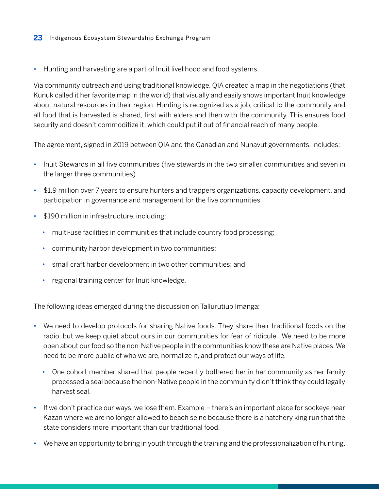• Hunting and harvesting are a part of Inuit livelihood and food systems.

Via community outreach and using traditional knowledge, QIA created a map in the negotiations (that Kunuk called it her favorite map in the world) that visually and easily shows important Inuit knowledge about natural resources in their region. Hunting is recognized as a job, critical to the community and all food that is harvested is shared, first with elders and then with the community. This ensures food security and doesn't commoditize it, which could put it out of financial reach of many people.

The agreement, signed in 2019 between QIA and the Canadian and Nunavut governments, includes:

- Inuit Stewards in all five communities (five stewards in the two smaller communities and seven in the larger three communities)
- \$1.9 million over 7 years to ensure hunters and trappers organizations, capacity development, and participation in governance and management for the five communities
- \$190 million in infrastructure, including:
	- multi-use facilities in communities that include country food processing;
	- community harbor development in two communities;
	- small craft harbor development in two other communities; and
	- regional training center for Inuit knowledge.

The following ideas emerged during the discussion on Tallurutiup Imanga:

- We need to develop protocols for sharing Native foods. They share their traditional foods on the radio, but we keep quiet about ours in our communities for fear of ridicule. We need to be more open about our food so the non-Native people in the communities know these are Native places. We need to be more public of who we are, normalize it, and protect our ways of life.
	- One cohort member shared that people recently bothered her in her community as her family processed a seal because the non-Native people in the community didn't think they could legally harvest seal.
- If we don't practice our ways, we lose them. Example there's an important place for sockeye near Kazan where we are no longer allowed to beach seine because there is a hatchery king run that the state considers more important than our traditional food.
- We have an opportunity to bring in youth through the training and the professionalization of hunting.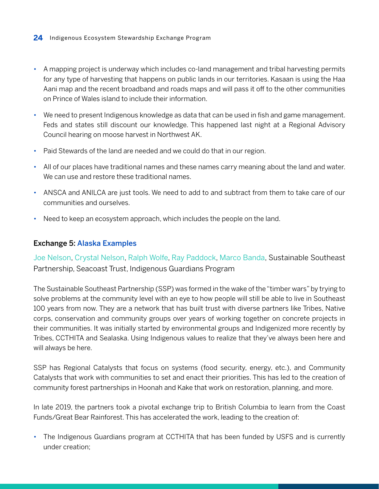- <span id="page-23-0"></span>• A mapping project is underway which includes co-land management and tribal harvesting permits for any type of harvesting that happens on public lands in our territories. Kasaan is using the Haa Aani map and the recent broadband and roads maps and will pass it off to the other communities on Prince of Wales island to include their information.
- We need to present Indigenous knowledge as data that can be used in fish and game management. Feds and states still discount our knowledge. This happened last night at a Regional Advisory Council hearing on moose harvest in Northwest AK.
- Paid Stewards of the land are needed and we could do that in our region.
- All of our places have traditional names and these names carry meaning about the land and water. We can use and restore these traditional names.
- ANSCA and ANILCA are just tools. We need to add to and subtract from them to take care of our communities and ourselves.
- Need to keep an ecosystem approach, which includes the people on the land.

#### Exchange 5: Alaska Examples

Joe Nelson, Crystal Nelson, Ralph Wolfe, Ray Paddock, Marco Banda, [Sustainable Southeast](http://sustainablesoutheast.net/) [Partnership,](http://sustainablesoutheast.net/) [Seacoast Trust](https://www.seacoasttrust.org/), [Indigenous Guardians Program](https://myemail.constantcontact.com/FOR-IMMEDIATE-RELEASE--Tlingit---Haida-and-USDA-Forest-Service-Sign-Agreement-for-Indigenous-Guardians-Program.html?soid=1124597381696&aid=1OAHkIPelnk)

The Sustainable Southeast Partnership (SSP) was formed in the wake of the "timber wars" by trying to solve problems at the community level with an eye to how people will still be able to live in Southeast 100 years from now. They are a network that has built trust with diverse partners like Tribes, Native corps, conservation and community groups over years of working together on concrete projects in their communities. It was initially started by environmental groups and Indigenized more recently by Tribes, CCTHITA and Sealaska. Using Indigenous values to realize that they've always been here and will always be here.

SSP has Regional Catalysts that focus on systems (food security, energy, etc.), and Community Catalysts that work with communities to set and enact their priorities. This has led to the creation of community forest partnerships in Hoonah and Kake that work on restoration, planning, and more.

In late 2019, the partners took a pivotal exchange trip to British Columbia to learn from the Coast Funds/Great Bear Rainforest. This has accelerated the work, leading to the creation of:

• The Indigenous Guardians program at CCTHITA that has been funded by USFS and is currently under creation;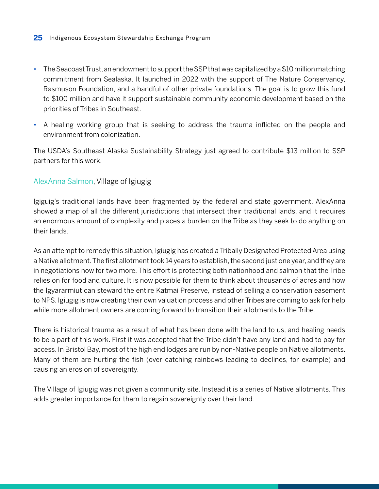- The Seacoast Trust, an endowment to support the SSP that was capitalized by a \$10 million matching commitment from Sealaska. It launched in 2022 with the support of The Nature Conservancy, Rasmuson Foundation, and a handful of other private foundations. The goal is to grow this fund to \$100 million and have it support sustainable community economic development based on the priorities of Tribes in Southeast.
- A healing working group that is seeking to address the trauma inflicted on the people and environment from colonization.

The USDA's Southeast Alaska Sustainability Strategy just agreed to contribute \$13 million to SSP partners for this work.

#### AlexAnna Salmon, [Village of Igiugig](https://www.igiugig.com/)

Igiguig's traditional lands have been fragmented by the federal and state government. AlexAnna showed a map of all the different jurisdictions that intersect their traditional lands, and it requires an enormous amount of complexity and places a burden on the Tribe as they seek to do anything on their lands.

As an attempt to remedy this situation, Igiugig has created a Tribally Designated Protected Area using a Native allotment. The first allotment took 14 years to establish, the second just one year, and they are in negotiations now for two more. This effort is protecting both nationhood and salmon that the Tribe relies on for food and culture. It is now possible for them to think about thousands of acres and how the Igyararmiut can steward the entire Katmai Preserve, instead of selling a conservation easement to NPS. Igiugig is now creating their own valuation process and other Tribes are coming to ask for help while more allotment owners are coming forward to transition their allotments to the Tribe.

There is historical trauma as a result of what has been done with the land to us, and healing needs to be a part of this work. First it was accepted that the Tribe didn't have any land and had to pay for access. In Bristol Bay, most of the high end lodges are run by non-Native people on Native allotments. Many of them are hurting the fish (over catching rainbows leading to declines, for example) and causing an erosion of sovereignty.

The Village of Igiugig was not given a community site. Instead it is a series of Native allotments. This adds greater importance for them to regain sovereignty over their land.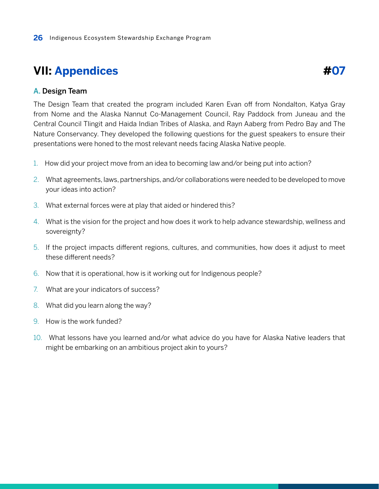### <span id="page-25-0"></span>**VII: Appendices**

**#07**

#### A. Design Team

The Design Team that created the program included Karen Evan off from Nondalton, Katya Gray from Nome and the Alaska Nannut Co-Management Council, Ray Paddock from Juneau and the Central Council Tlingit and Haida Indian Tribes of Alaska, and Rayn Aaberg from Pedro Bay and The Nature Conservancy. They developed the following questions for the guest speakers to ensure their presentations were honed to the most relevant needs facing Alaska Native people.

- 1. How did your project move from an idea to becoming law and/or being put into action?
- 2. What agreements, laws, partnerships, and/or collaborations were needed to be developed to move your ideas into action?
- 3. What external forces were at play that aided or hindered this?
- 4. What is the vision for the project and how does it work to help advance stewardship, wellness and sovereignty?
- 5. If the project impacts different regions, cultures, and communities, how does it adjust to meet these different needs?
- 6. Now that it is operational, how is it working out for Indigenous people?
- 7. What are your indicators of success?
- 8. What did you learn along the way?
- 9. How is the work funded?
- 10. What lessons have you learned and/or what advice do you have for Alaska Native leaders that might be embarking on an ambitious project akin to yours?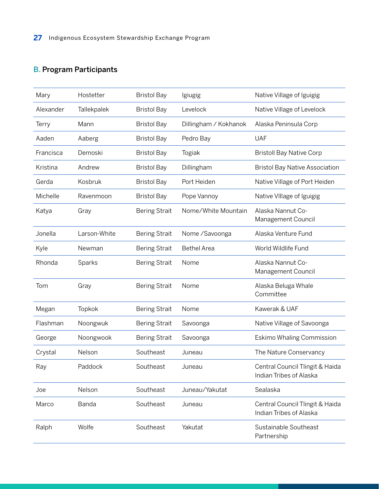### <span id="page-26-0"></span>B. Program Participants

| Mary      | Hostetter    | <b>Bristol Bay</b>   | Igiugig               | Native Village of Iguigig                                  |
|-----------|--------------|----------------------|-----------------------|------------------------------------------------------------|
| Alexander | Tallekpalek  | <b>Bristol Bay</b>   | Levelock              | Native Village of Levelock                                 |
| Terry     | Mann         | <b>Bristol Bay</b>   | Dillingham / Kokhanok | Alaska Peninsula Corp                                      |
| Aaden     | Aaberg       | <b>Bristol Bay</b>   | Pedro Bay             | <b>UAF</b>                                                 |
| Francisca | Demoski      | <b>Bristol Bay</b>   | Togiak                | <b>Bristoll Bay Native Corp</b>                            |
| Kristina  | Andrew       | <b>Bristol Bay</b>   | Dillingham            | <b>Bristol Bay Native Association</b>                      |
| Gerda     | Kosbruk      | <b>Bristol Bay</b>   | Port Heiden           | Native Village of Port Heiden                              |
| Michelle  | Ravenmoon    | <b>Bristol Bay</b>   | Pope Vannoy           | Native VIIIage of Iguigig                                  |
| Katya     | Gray         | <b>Bering Strait</b> | Nome/White Mountain   | Alaska Nannut Co-<br>Management Council                    |
| Jonella   | Larson-White | <b>Bering Strait</b> | Nome / Savoonga       | Alaska Venture Fund                                        |
| Kyle      | Newman       | <b>Bering Strait</b> | <b>Bethel Area</b>    | World Wildlife Fund                                        |
| Rhonda    | Sparks       | <b>Bering Strait</b> | Nome                  | Alaska Nannut Co-<br>Management Council                    |
| Tom       | Gray         | <b>Bering Strait</b> | Nome                  | Alaska Beluga Whale<br>Committee                           |
| Megan     | Topkok       | <b>Bering Strait</b> | Nome                  | Kawerak & UAF                                              |
| Flashman  | Noongwuk     | <b>Bering Strait</b> | Savoonga              | Native Village of Savoonga                                 |
| George    | Noongwook    | <b>Bering Strait</b> | Savoonga              | Eskimo Whaling Commission                                  |
| Crystal   | Nelson       | Southeast            | Juneau                | The Nature Conservancy                                     |
| Ray       | Paddock      | Southeast            | Juneau                | Central Council Tlingit & Haida<br>Indian Tribes of Alaska |
| Joe       | Nelson       | Southeast            | Juneau/Yakutat        | Sealaska                                                   |
| Marco     | Banda        | Southeast            | Juneau                | Central Council Tlingit & Haida<br>Indian Tribes of Alaska |
| Ralph     | Wolfe        | Southeast            | Yakutat               | Sustainable Southeast<br>Partnership                       |